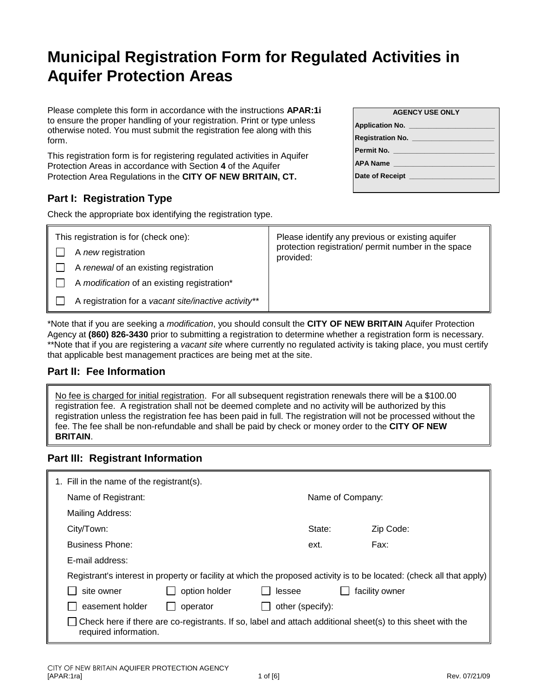# **Municipal Registration Form for Regulated Activities in Aquifer Protection Areas**

Please complete this form in accordance with the instructions **APAR:1i** to ensure the proper handling of your registration. Print or type unless otherwise noted. You must submit the registration fee along with this form.

This registration form is for registering regulated activities in Aquifer Protection Areas in accordance with Section **4** of the Aquifer Protection Area Regulations in the **CITY OF NEW BRITAIN, CT.**

# **Part I: Registration Type**

Check the appropriate box identifying the registration type.

| <b>AGENCY USE ONLY</b>               |  |  |
|--------------------------------------|--|--|
| <b>Application No.</b>               |  |  |
| <b>Registration No. Registration</b> |  |  |
| <b>Permit No.</b>                    |  |  |
| <b>APA Name</b>                      |  |  |
| Date of Receipt                      |  |  |

| This registration is for (check one):                | Please identify any previous or existing aquifer                 |
|------------------------------------------------------|------------------------------------------------------------------|
| A new registration                                   | protection registration/ permit number in the space<br>provided: |
| A renewal of an existing registration                |                                                                  |
| A modification of an existing registration*          |                                                                  |
| A registration for a vacant site/inactive activity** |                                                                  |

\*Note that if you are seeking a *modification*, you should consult the **CITY OF NEW BRITAIN** Aquifer Protection Agency at **(860) 826-3430** prior to submitting a registration to determine whether a registration form is necessary. \*\*Note that if you are registering a *vacant site* where currently no regulated activity is taking place, you must certify that applicable best management practices are being met at the site.

### **Part II: Fee Information**

No fee is charged for initial registration. For all subsequent registration renewals there will be a \$100.00 registration fee. A registration shall not be deemed complete and no activity will be authorized by this registration unless the registration fee has been paid in full. The registration will not be processed without the fee. The fee shall be non-refundable and shall be paid by check or money order to the **CITY OF NEW BRITAIN**.

## **Part III: Registrant Information**

| 1. Fill in the name of the registrant(s). |                                                                                                                       |                  |                  |  |
|-------------------------------------------|-----------------------------------------------------------------------------------------------------------------------|------------------|------------------|--|
| Name of Registrant:                       |                                                                                                                       |                  | Name of Company: |  |
| Mailing Address:                          |                                                                                                                       |                  |                  |  |
| City/Town:                                |                                                                                                                       | State:           | Zip Code:        |  |
| <b>Business Phone:</b>                    |                                                                                                                       | ext.             | Fax:             |  |
| E-mail address:                           |                                                                                                                       |                  |                  |  |
|                                           | Registrant's interest in property or facility at which the proposed activity is to be located: (check all that apply) |                  |                  |  |
| site owner                                | option holder                                                                                                         | lessee           | facility owner   |  |
| easement holder                           | operator                                                                                                              | other (specify): |                  |  |
| required information.                     | Check here if there are co-registrants. If so, label and attach additional sheet(s) to this sheet with the            |                  |                  |  |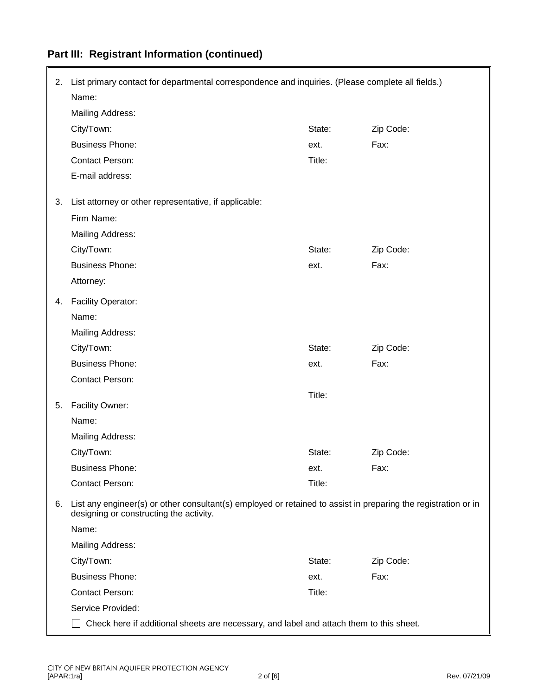| 2. | List primary contact for departmental correspondence and inquiries. (Please complete all fields.)                                                         |        |           |  |
|----|-----------------------------------------------------------------------------------------------------------------------------------------------------------|--------|-----------|--|
|    | Name:                                                                                                                                                     |        |           |  |
|    | Mailing Address:                                                                                                                                          |        |           |  |
|    | City/Town:                                                                                                                                                | State: | Zip Code: |  |
|    | <b>Business Phone:</b>                                                                                                                                    | ext.   | Fax:      |  |
|    | <b>Contact Person:</b>                                                                                                                                    | Title: |           |  |
|    | E-mail address:                                                                                                                                           |        |           |  |
| 3. | List attorney or other representative, if applicable:                                                                                                     |        |           |  |
|    | Firm Name:                                                                                                                                                |        |           |  |
|    | Mailing Address:                                                                                                                                          |        |           |  |
|    | City/Town:                                                                                                                                                | State: | Zip Code: |  |
|    | <b>Business Phone:</b>                                                                                                                                    | ext.   | Fax:      |  |
|    | Attorney:                                                                                                                                                 |        |           |  |
| 4. | Facility Operator:                                                                                                                                        |        |           |  |
|    | Name:                                                                                                                                                     |        |           |  |
|    | <b>Mailing Address:</b>                                                                                                                                   |        |           |  |
|    | City/Town:                                                                                                                                                | State: | Zip Code: |  |
|    | <b>Business Phone:</b>                                                                                                                                    | ext.   | Fax:      |  |
|    | <b>Contact Person:</b>                                                                                                                                    |        |           |  |
| 5. | Facility Owner:                                                                                                                                           | Title: |           |  |
|    | Name:                                                                                                                                                     |        |           |  |
|    | <b>Mailing Address:</b>                                                                                                                                   |        |           |  |
|    | City/Town:                                                                                                                                                | State: | Zip Code: |  |
|    | <b>Business Phone:</b>                                                                                                                                    | ext.   | Fax:      |  |
|    | <b>Contact Person:</b>                                                                                                                                    | Title: |           |  |
| 6. | List any engineer(s) or other consultant(s) employed or retained to assist in preparing the registration or in<br>designing or constructing the activity. |        |           |  |
|    | Name:                                                                                                                                                     |        |           |  |
|    | <b>Mailing Address:</b>                                                                                                                                   |        |           |  |
|    | City/Town:                                                                                                                                                | State: | Zip Code: |  |
|    | <b>Business Phone:</b>                                                                                                                                    | ext.   | Fax:      |  |
|    | <b>Contact Person:</b>                                                                                                                                    | Title: |           |  |
|    | Service Provided:                                                                                                                                         |        |           |  |
|    | Check here if additional sheets are necessary, and label and attach them to this sheet.                                                                   |        |           |  |

# **Part III: Registrant Information (continued)**

r.

 $\blacksquare$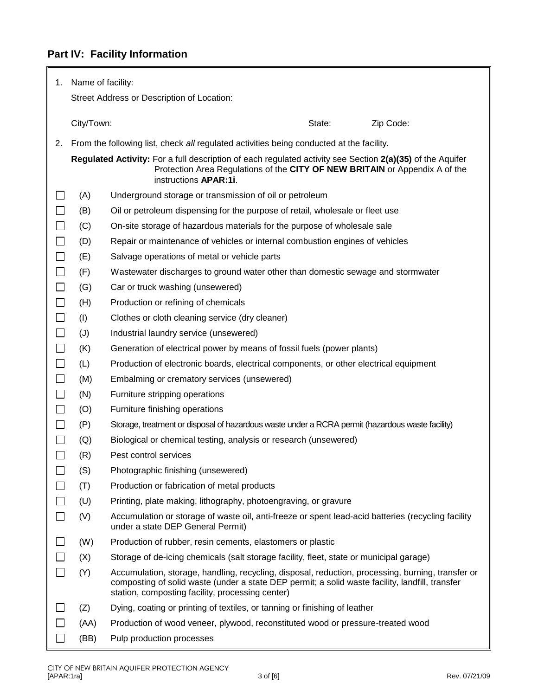# **Part IV: Facility Information**

F

| 1.     | Name of facility:                                                                                                                                                                                                 |                                                                                                                                                                                                                                                          |  |  |
|--------|-------------------------------------------------------------------------------------------------------------------------------------------------------------------------------------------------------------------|----------------------------------------------------------------------------------------------------------------------------------------------------------------------------------------------------------------------------------------------------------|--|--|
|        | Street Address or Description of Location:                                                                                                                                                                        |                                                                                                                                                                                                                                                          |  |  |
|        | City/Town:                                                                                                                                                                                                        | State:<br>Zip Code:                                                                                                                                                                                                                                      |  |  |
| 2.     |                                                                                                                                                                                                                   | From the following list, check all regulated activities being conducted at the facility.                                                                                                                                                                 |  |  |
|        | Regulated Activity: For a full description of each regulated activity see Section 2(a)(35) of the Aquifer<br>Protection Area Regulations of the CITY OF NEW BRITAIN or Appendix A of the<br>instructions APAR:1i. |                                                                                                                                                                                                                                                          |  |  |
| $\Box$ | (A)                                                                                                                                                                                                               | Underground storage or transmission of oil or petroleum                                                                                                                                                                                                  |  |  |
| $\Box$ | (B)                                                                                                                                                                                                               | Oil or petroleum dispensing for the purpose of retail, wholesale or fleet use                                                                                                                                                                            |  |  |
| $\Box$ | (C)                                                                                                                                                                                                               | On-site storage of hazardous materials for the purpose of wholesale sale                                                                                                                                                                                 |  |  |
| $\Box$ | (D)                                                                                                                                                                                                               | Repair or maintenance of vehicles or internal combustion engines of vehicles                                                                                                                                                                             |  |  |
| $\Box$ | (E)                                                                                                                                                                                                               | Salvage operations of metal or vehicle parts                                                                                                                                                                                                             |  |  |
| $\Box$ | (F)                                                                                                                                                                                                               | Wastewater discharges to ground water other than domestic sewage and stormwater                                                                                                                                                                          |  |  |
| $\Box$ | (G)                                                                                                                                                                                                               | Car or truck washing (unsewered)                                                                                                                                                                                                                         |  |  |
| $\Box$ | (H)                                                                                                                                                                                                               | Production or refining of chemicals                                                                                                                                                                                                                      |  |  |
| $\Box$ | (1)                                                                                                                                                                                                               | Clothes or cloth cleaning service (dry cleaner)                                                                                                                                                                                                          |  |  |
| $\Box$ | (J)                                                                                                                                                                                                               | Industrial laundry service (unsewered)                                                                                                                                                                                                                   |  |  |
| $\Box$ | (K)                                                                                                                                                                                                               | Generation of electrical power by means of fossil fuels (power plants)                                                                                                                                                                                   |  |  |
| $\Box$ | (L)                                                                                                                                                                                                               | Production of electronic boards, electrical components, or other electrical equipment                                                                                                                                                                    |  |  |
| $\Box$ | (M)                                                                                                                                                                                                               | Embalming or crematory services (unsewered)                                                                                                                                                                                                              |  |  |
| $\Box$ | (N)                                                                                                                                                                                                               | Furniture stripping operations                                                                                                                                                                                                                           |  |  |
| $\Box$ | (O)                                                                                                                                                                                                               | Furniture finishing operations                                                                                                                                                                                                                           |  |  |
| $\Box$ | (P)                                                                                                                                                                                                               | Storage, treatment or disposal of hazardous waste under a RCRA permit (hazardous waste facility)                                                                                                                                                         |  |  |
| $\Box$ | (Q)                                                                                                                                                                                                               | Biological or chemical testing, analysis or research (unsewered)                                                                                                                                                                                         |  |  |
|        | (R)                                                                                                                                                                                                               | Pest control services                                                                                                                                                                                                                                    |  |  |
| $\Box$ | (S)                                                                                                                                                                                                               | Photographic finishing (unsewered)                                                                                                                                                                                                                       |  |  |
|        | (T)                                                                                                                                                                                                               | Production or fabrication of metal products                                                                                                                                                                                                              |  |  |
|        | (U)                                                                                                                                                                                                               | Printing, plate making, lithography, photoengraving, or gravure                                                                                                                                                                                          |  |  |
| $\Box$ | (V)                                                                                                                                                                                                               | Accumulation or storage of waste oil, anti-freeze or spent lead-acid batteries (recycling facility<br>under a state DEP General Permit)                                                                                                                  |  |  |
| $\Box$ | (W)                                                                                                                                                                                                               | Production of rubber, resin cements, elastomers or plastic                                                                                                                                                                                               |  |  |
| $\Box$ | (X)                                                                                                                                                                                                               | Storage of de-icing chemicals (salt storage facility, fleet, state or municipal garage)                                                                                                                                                                  |  |  |
| $\Box$ | (Y)                                                                                                                                                                                                               | Accumulation, storage, handling, recycling, disposal, reduction, processing, burning, transfer or<br>composting of solid waste (under a state DEP permit; a solid waste facility, landfill, transfer<br>station, composting facility, processing center) |  |  |
|        | (Z)                                                                                                                                                                                                               | Dying, coating or printing of textiles, or tanning or finishing of leather                                                                                                                                                                               |  |  |
|        | (AA)                                                                                                                                                                                                              | Production of wood veneer, plywood, reconstituted wood or pressure-treated wood                                                                                                                                                                          |  |  |
| $\Box$ | (BB)                                                                                                                                                                                                              | Pulp production processes                                                                                                                                                                                                                                |  |  |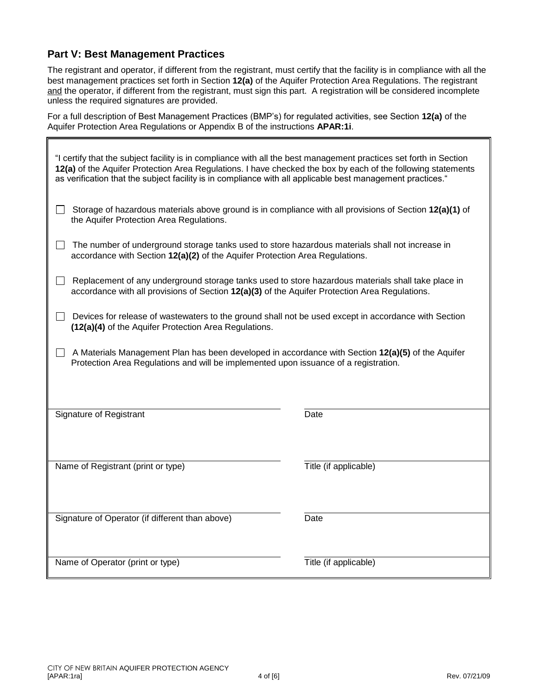### **Part V: Best Management Practices**

The registrant and operator, if different from the registrant, must certify that the facility is in compliance with all the best management practices set forth in Section **12(a)** of the Aquifer Protection Area Regulations. The registrant and the operator, if different from the registrant, must sign this part. A registration will be considered incomplete unless the required signatures are provided.

For a full description of Best Management Practices (BMP's) for regulated activities, see Section **12(a)** of the Aquifer Protection Area Regulations or Appendix B of the instructions **APAR:1i**.

| "I certify that the subject facility is in compliance with all the best management practices set forth in Section<br>12(a) of the Aquifer Protection Area Regulations. I have checked the box by each of the following statements<br>as verification that the subject facility is in compliance with all applicable best management practices." |                       |  |  |
|-------------------------------------------------------------------------------------------------------------------------------------------------------------------------------------------------------------------------------------------------------------------------------------------------------------------------------------------------|-----------------------|--|--|
| Storage of hazardous materials above ground is in compliance with all provisions of Section 12(a)(1) of<br>the Aquifer Protection Area Regulations.                                                                                                                                                                                             |                       |  |  |
| The number of underground storage tanks used to store hazardous materials shall not increase in<br>accordance with Section 12(a)(2) of the Aquifer Protection Area Regulations.                                                                                                                                                                 |                       |  |  |
| Replacement of any underground storage tanks used to store hazardous materials shall take place in<br>accordance with all provisions of Section 12(a)(3) of the Aquifer Protection Area Regulations.                                                                                                                                            |                       |  |  |
| Devices for release of wastewaters to the ground shall not be used except in accordance with Section<br>(12(a)(4) of the Aquifer Protection Area Regulations.                                                                                                                                                                                   |                       |  |  |
| A Materials Management Plan has been developed in accordance with Section 12(a)(5) of the Aquifer<br>Protection Area Regulations and will be implemented upon issuance of a registration.                                                                                                                                                       |                       |  |  |
| Signature of Registrant                                                                                                                                                                                                                                                                                                                         | Date                  |  |  |
| Name of Registrant (print or type)                                                                                                                                                                                                                                                                                                              | Title (if applicable) |  |  |
| Signature of Operator (if different than above)                                                                                                                                                                                                                                                                                                 | Date                  |  |  |
| Name of Operator (print or type)                                                                                                                                                                                                                                                                                                                | Title (if applicable) |  |  |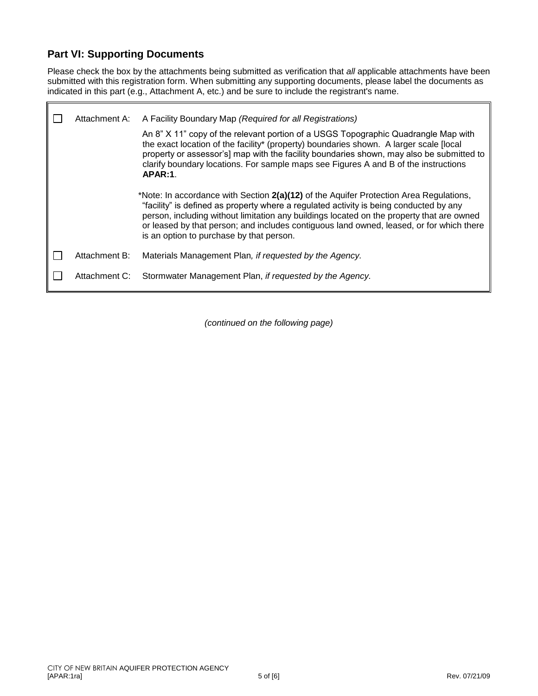### **Part VI: Supporting Documents**

ı.

Please check the box by the attachments being submitted as verification that *all* applicable attachments have been submitted with this registration form. When submitting any supporting documents, please label the documents as indicated in this part (e.g., Attachment A, etc.) and be sure to include the registrant's name.

| Attachment A: | A Facility Boundary Map (Required for all Registrations)                                                                                                                                                                                                                                                                                                                                                              |
|---------------|-----------------------------------------------------------------------------------------------------------------------------------------------------------------------------------------------------------------------------------------------------------------------------------------------------------------------------------------------------------------------------------------------------------------------|
|               | An 8" X 11" copy of the relevant portion of a USGS Topographic Quadrangle Map with<br>the exact location of the facility* (property) boundaries shown. A larger scale [local<br>property or assessor's] map with the facility boundaries shown, may also be submitted to<br>clarify boundary locations. For sample maps see Figures A and B of the instructions<br>APAR:1.                                            |
|               | *Note: In accordance with Section 2(a)(12) of the Aquifer Protection Area Regulations,<br>"facility" is defined as property where a regulated activity is being conducted by any<br>person, including without limitation any buildings located on the property that are owned<br>or leased by that person; and includes contiguous land owned, leased, or for which there<br>is an option to purchase by that person. |
| Attachment B: | Materials Management Plan, if requested by the Agency.                                                                                                                                                                                                                                                                                                                                                                |
| Attachment C: | Stormwater Management Plan, if requested by the Agency.                                                                                                                                                                                                                                                                                                                                                               |

*(continued on the following page)*